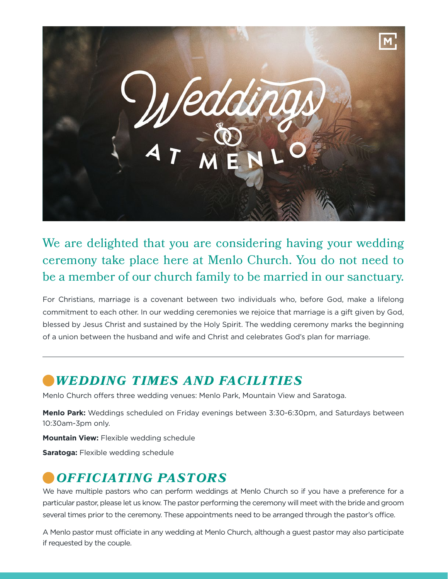

We are delighted that you are considering having your wedding ceremony take place here at Menlo Church. You do not need to be a member of our church family to be married in our sanctuary.

For Christians, marriage is a covenant between two individuals who, before God, make a lifelong commitment to each other. In our wedding ceremonies we rejoice that marriage is a gift given by God, blessed by Jesus Christ and sustained by the Holy Spirit. The wedding ceremony marks the beginning of a union between the husband and wife and Christ and celebrates God's plan for marriage.

#### *WEDDING TIMES AND FACILITIES*

Menlo Church offers three wedding venues: Menlo Park, Mountain View and Saratoga.

**Menlo Park:** Weddings scheduled on Friday evenings between 3:30-6:30pm, and Saturdays between 10:30am-3pm only.

**Mountain View:** Flexible wedding schedule

**Saratoga:** Flexible wedding schedule

#### *OFFICIATING PASTORS*

We have multiple pastors who can perform weddings at Menlo Church so if you have a preference for a particular pastor, please let us know. The pastor performing the ceremony will meet with the bride and groom several times prior to the ceremony. These appointments need to be arranged through the pastor's office.

A Menlo pastor must officiate in any wedding at Menlo Church, although a guest pastor may also participate if requested by the couple.